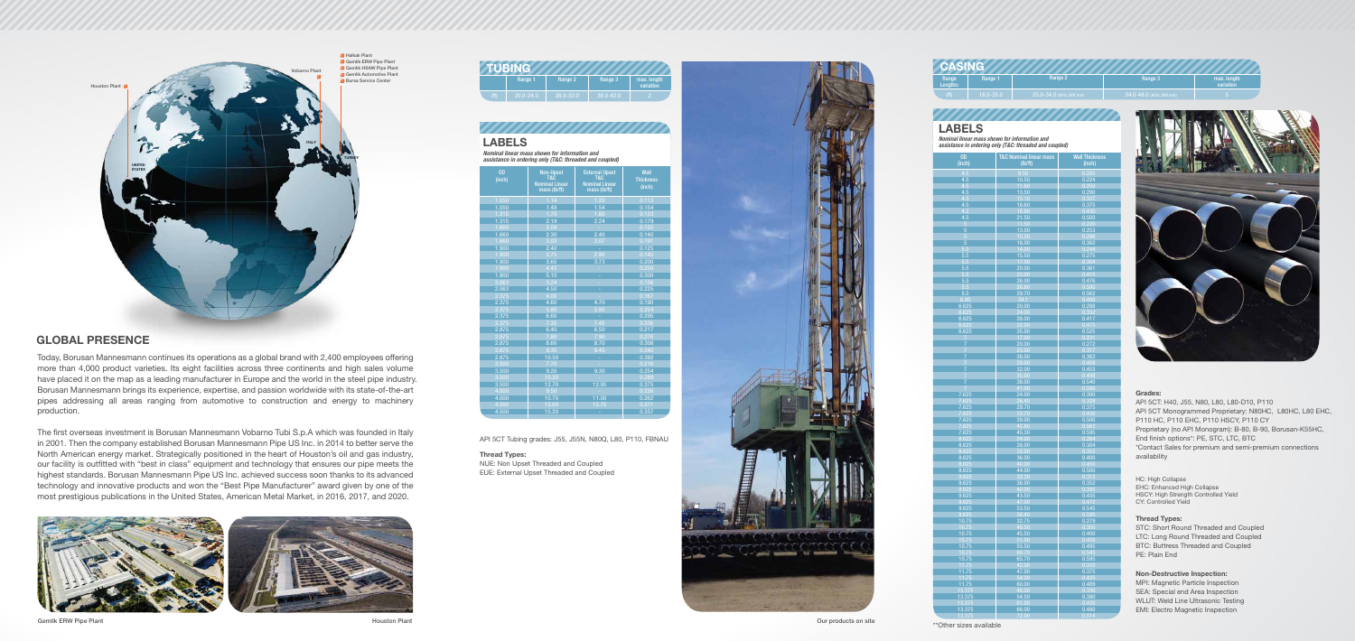Today, Borusan Mannesmann continues its operations as a global brand with 2,400 employees offering more than 4,000 product varieties. Its eight facilities across three continents and high sales volume have placed it on the map as a leading manufacturer in Europe and the world in the steel pipe industry. Borusan Mannesmann brings its experience, expertise, and passion worldwide with its state-of-the-art pipes addressing all areas ranging from automotive to construction and energy to machinery production.

The first overseas investment is Borusan Mannesmann Vobarno Tubi S.p.A which was founded in Italy in 2001. Then the company established Borusan Mannesmann Pipe US Inc. in 2014 to better serve the North American energy market. Strategically positioned in the heart of Houston's oil and gas industry, our facility is outfitted with "best in class" equipment and technology that ensures our pipe meets the highest standards. Borusan Mannesmann Pipe US Inc. achieved success soon thanks to its advanced technology and innovative products and won the "Best Pipe Manufacturer" award given by one of the most prestigious publications in the United States, American Metal Market, in 2016, 2017, and 2020.



| Range<br>:Lengths | Range 1       | Range 2                  | Range 3                  | max. length<br>variation |  |  |  |
|-------------------|---------------|--------------------------|--------------------------|--------------------------|--|--|--|
| (t <sup>t</sup> ) | $18.0 - 25.0$ | 25.0-34.0 (95% 28ft min) | 34.0-48.0 (95% 36ft min) |                          |  |  |  |
|                   |               |                          |                          |                          |  |  |  |

| OD<br>(inch)            | <b>T&amp;C Nominal linear mass</b><br>(lb/ft) | <b>Wall Thickness</b><br>(inch) |  |
|-------------------------|-----------------------------------------------|---------------------------------|--|
| 4.5                     | 9.50                                          | 0.205                           |  |
| 4.5                     | 10.50                                         | 0.224                           |  |
| 4.5                     | 11.60                                         | <u>0.250</u>                    |  |
| 4.5                     | 13.50                                         | 0.290                           |  |
| 4.5                     | 15.10                                         | 0.337                           |  |
| 4.5<br>4.5              | 16.60<br>18.90                                | 0.375<br>0.430                  |  |
| 4.5                     | 21.50                                         | 0.500                           |  |
| $\overline{5}$          | 11.50                                         | 0.220                           |  |
| $\overline{5}$          | 13.00                                         | 0.253                           |  |
| 5                       | 15.00                                         | 0.296                           |  |
| $\overline{5}$          | 18.00                                         | 0.362                           |  |
| 5.5<br>5.5              | 14.00<br>15.50                                | 0.244<br>0.275                  |  |
| 5.5                     | 17.00                                         | 0.304                           |  |
| 5.5                     | 20.00                                         | 0.361                           |  |
| 5.5                     | 23.00                                         | 0.415                           |  |
| 5.5                     | 26.00                                         | 0.476                           |  |
| 5.5                     | 26.80                                         | 0.500                           |  |
| 5.5                     | 29.70                                         | 0.562                           |  |
| 6.00<br>6.625           | 24.1<br>20.00                                 | 0.400<br>0.288                  |  |
| 6.625                   | 24.00                                         | 0.352                           |  |
| 6.625                   | 28.00                                         | 0.417                           |  |
| 6.625                   | 32.00                                         | 0.475                           |  |
| 6.625                   | 35.00                                         | 0.525                           |  |
| $\frac{7}{7}$           | 17.00                                         | 0.231                           |  |
|                         | 20.00<br>23.00                                | 0.272                           |  |
| 7<br>$\overline{7}$     | 26.00                                         | <u>0.317</u><br>0.362           |  |
|                         | 29.00                                         | 0.408                           |  |
| $\frac{7}{7}$           | 32.00                                         | 0.453                           |  |
| $\overline{7}$          | 35.00                                         | 0.498                           |  |
| 7                       | 38.00                                         | 0.540                           |  |
| $\overline{7}$<br>7.625 | 41.00<br>24.00                                | 0.590<br>0.300                  |  |
| 7.625                   | 26.40                                         | 0.328                           |  |
| 7.625                   | 29.70                                         | 0.375                           |  |
| 7.625                   | 33.70                                         | 0.430                           |  |
| 7.625                   | 39.00                                         | 0.500                           |  |
| 7.625                   | 42.80                                         | 0.562                           |  |
| 7.625<br>8.625          | 45.30<br>24.00                                | 0.595<br>0.264                  |  |
| 8.625                   | 28.00                                         | 0.304                           |  |
| 8.625                   | 32.00                                         | 0.352                           |  |
| 8.625                   | 36.00                                         | 0.400                           |  |
| 8.625                   | 40.00                                         | 0.450                           |  |
| 8.625                   | 44.00                                         | 0.500                           |  |
| 9.625<br>9.625          | 32.30<br>36.00                                | 0.312<br>0.352                  |  |
| 9.625                   | 40.00                                         | 0.395                           |  |
| 9.625                   | 43.50                                         | 0.435                           |  |
| 9.625                   | 47.00                                         | 0.472                           |  |
| 9.625                   | 53.50                                         | 0.545                           |  |
| 9.625                   | 58.40                                         | 0.595                           |  |
| 10.75<br>10.75          | 32.75<br>40.50                                | 0.279<br>0.350                  |  |
| 10.75                   | 45.50                                         | 0.400                           |  |
| 10.75                   | 51.00                                         | 0.450                           |  |
| 10.75                   | 55.50                                         | 0.495                           |  |
| 10.75                   | 60.70                                         | 0.545                           |  |
| 10.75                   | 65.70                                         | 0.595                           |  |
| 11.75<br>11.75          | 42.00<br>47.00                                | 0.333<br>0.375                  |  |
| 11.75                   | 54.00                                         | 0.435                           |  |
| 11.75                   | 60.00                                         | 0.489                           |  |
| 13.375                  | 48.00                                         | 0.330                           |  |
| 13.375                  | 54.50                                         | 0.380                           |  |
| 13.375                  | 61.00                                         | 0.430                           |  |
| 13.375                  | 68.00                                         | 0.480<br>0.514                  |  |
| 13.375                  | 72.00                                         |                                 |  |



*Nominal linear mass shown for information and assistance in ordering only (T&C: threaded and coupled)* 

*annonomommo* 

# LABELS





| <b>OD</b><br>(inch) | <b>Non-Upset</b><br>T&C<br><b>Nominal Linear</b><br>mass (lb/ft) | <b>External Upset</b><br><b>T&amp;C</b><br><b>Nominal Linear</b><br>mass (lb/ft) | <b>Wall</b><br><b>Thickness</b><br>(inch) |
|---------------------|------------------------------------------------------------------|----------------------------------------------------------------------------------|-------------------------------------------|
| 1.050               | 1.14                                                             | 1.20                                                                             | 0.113                                     |
| 1.050               | 1.48                                                             | 1.54                                                                             | 0.154                                     |
| 1.315               | 1.70                                                             | 1.80                                                                             | 0.133                                     |
| 1.315               | 2.19                                                             | 2.24                                                                             | 0.179                                     |
| 1.660               | 2.09                                                             |                                                                                  | 0.125                                     |
| 1.660               | 2.30                                                             | 2.40                                                                             | 0.140                                     |
| 1.660               | 3.03                                                             | 3.07                                                                             | 0.191                                     |
| 1.900               | 2.40                                                             | ÷.                                                                               | 0.125                                     |
| 1.900               | 2.75                                                             | 2.90                                                                             | 0.145                                     |
| 1.900               | 3.65                                                             | 3.73                                                                             | 0.200                                     |
| 1.900               | 4.42                                                             |                                                                                  | 0.250                                     |
| 1.900               | 5.15                                                             | ÷                                                                                | 0.300                                     |
| 2.063               | 3.24                                                             |                                                                                  | 0.156                                     |
| 2.063               | 4.50                                                             | L,                                                                               | 0.225                                     |
| 2.375               | 4.00                                                             |                                                                                  | 0.167                                     |
| 2.375               | 4.60                                                             | 4.70                                                                             | 0.190                                     |
| 2.375               | 5.80                                                             | 5.95                                                                             | 0.254                                     |
| 2.375               | 6.60                                                             | ÷.                                                                               | 0.295                                     |
| 2.375               | 7.35                                                             | 7.45                                                                             | 0.336                                     |
| 2.875               | 6.40                                                             | 6.50                                                                             | 0.217                                     |
| 2.875               | 7.80                                                             | 7.90                                                                             | 0.276                                     |
| 2.875               | 8.60                                                             | 8.70                                                                             | 0.308                                     |
| 2.875               | 9.35                                                             | 9.45                                                                             | 0.340                                     |
| 2.875               | 10.50                                                            | ÷.                                                                               | 0.392                                     |
| 3.500               | 7.70                                                             |                                                                                  | 0.216                                     |
| 3.500               | 9.20                                                             | 9.30                                                                             | 0.254                                     |
| 3.500               | 10.20                                                            |                                                                                  | 0.289                                     |
| 3.500               | 12.70                                                            | 12.95                                                                            | 0.375                                     |
| 4.000               | 9.50                                                             |                                                                                  | 0.226                                     |
| 4.000               | 10.70                                                            | 11.00                                                                            | 0.262                                     |
| 4.500               | 12.60                                                            | 12.75                                                                            | 0.271                                     |
| 4.500               | 15.20                                                            |                                                                                  | 0.337                                     |
|                     |                                                                  |                                                                                  |                                           |

*Nominal linear mass shown for information and assistance in ordering only (T&C: threaded and coupled)*

# LABELS

API 5CT Tubing grades: J55, J55N, N80Q, L80, P110, FBNAU

#### Grades:

API 5CT: H40, J55, N80, L80, L80-D10, P110 API 5CT Monogrammed Proprietary: N80HC, L80HC, L80 EHC, P110 HC, P110 EHC, P110 HSCY, P110 CY Proprietary (no API Monogram): B-80, B-90, Borusan-K55HC, End finish options\*: PE, STC, LTC, BTC \*Contact Sales for premium and semi-premium connections availability

HC: High Collapse EHC: Enhanced High Collapse HSCY: High Strength Controlled Yield CY: Controlled Yield

#### Thread Types:

STC: Short Round Threaded and Coupled LTC: Long Round Threaded and Coupled BTC: Buttress Threaded and Coupled PE: Plain End

#### Non-Destructive Inspection:

MPI: Magnetic Particle Inspection SEA: Special end Area Inspection WLUT: Weld Line Ultrasonic Testing EMI: Electro Magnetic Inspection



#### Thread Types:

NUE: Non Upset Threaded and Coupled EUE: External Upset Threaded and Coupled

Gemlik ERW Pipe Plant Number of the State of the Houston Plant Houston Plant And Houston Plant Our products on site



## GLOBAL PRESENCE